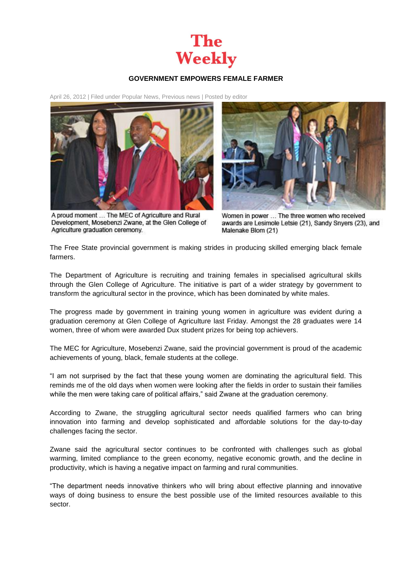

## **GOVERNMENT EMPOWERS FEMALE FARMER**

April 26, 2012 | Filed under [Popular News,](http://theweekly.co.za/?cat=10) [Previous news](http://theweekly.co.za/?cat=7) | Posted by [editor](http://theweekly.co.za/?author=1)





A proud moment ... The MEC of Agriculture and Rural Development, Mosebenzi Zwane, at the Glen College of Agriculture graduation ceremony.

Women in power ... The three women who received awards are Lesimole Letsie (21), Sandy Snyers (23), and Malenake Blom (21)

The Free State provincial government is making strides in producing skilled emerging black female farmers.

The Department of Agriculture is recruiting and training females in specialised agricultural skills through the Glen College of Agriculture. The initiative is part of a wider strategy by government to transform the agricultural sector in the province, which has been dominated by white males.

The progress made by government in training young women in agriculture was evident during a graduation ceremony at Glen College of Agriculture last Friday. Amongst the 28 graduates were 14 women, three of whom were awarded Dux student prizes for being top achievers.

The MEC for Agriculture, Mosebenzi Zwane, said the provincial government is proud of the academic achievements of young, black, female students at the college.

"I am not surprised by the fact that these young women are dominating the agricultural field. This reminds me of the old days when women were looking after the fields in order to sustain their families while the men were taking care of political affairs," said Zwane at the graduation ceremony.

According to Zwane, the struggling agricultural sector needs qualified farmers who can bring innovation into farming and develop sophisticated and affordable solutions for the day-to-day challenges facing the sector.

Zwane said the agricultural sector continues to be confronted with challenges such as global warming, limited compliance to the green economy, negative economic growth, and the decline in productivity, which is having a negative impact on farming and rural communities.

"The department needs innovative thinkers who will bring about effective planning and innovative ways of doing business to ensure the best possible use of the limited resources available to this sector.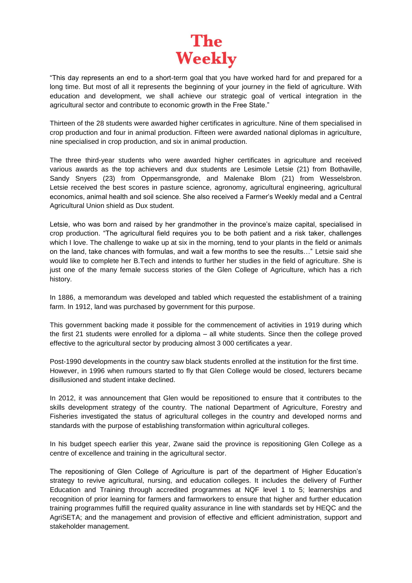

"This day represents an end to a short-term goal that you have worked hard for and prepared for a long time. But most of all it represents the beginning of your journey in the field of agriculture. With education and development, we shall achieve our strategic goal of vertical integration in the agricultural sector and contribute to economic growth in the Free State."

Thirteen of the 28 students were awarded higher certificates in agriculture. Nine of them specialised in crop production and four in animal production. Fifteen were awarded national diplomas in agriculture, nine specialised in crop production, and six in animal production.

The three third-year students who were awarded higher certificates in agriculture and received various awards as the top achievers and dux students are Lesimole Letsie (21) from Bothaville, Sandy Snyers (23) from Oppermansgronde, and Malenake Blom (21) from Wesselsbron. Letsie received the best scores in pasture science, agronomy, agricultural engineering, agricultural economics, animal health and soil science. She also received a Farmer's Weekly medal and a Central Agricultural Union shield as Dux student.

Letsie, who was born and raised by her grandmother in the province's maize capital, specialised in crop production. "The agricultural field requires you to be both patient and a risk taker, challenges which I love. The challenge to wake up at six in the morning, tend to your plants in the field or animals on the land, take chances with formulas, and wait a few months to see the results…" Letsie said she would like to complete her B.Tech and intends to further her studies in the field of agriculture. She is just one of the many female success stories of the Glen College of Agriculture, which has a rich history.

In 1886, a memorandum was developed and tabled which requested the establishment of a training farm. In 1912, land was purchased by government for this purpose.

This government backing made it possible for the commencement of activities in 1919 during which the first 21 students were enrolled for a diploma – all white students. Since then the college proved effective to the agricultural sector by producing almost 3 000 certificates a year.

Post-1990 developments in the country saw black students enrolled at the institution for the first time. However, in 1996 when rumours started to fly that Glen College would be closed, lecturers became disillusioned and student intake declined.

In 2012, it was announcement that Glen would be repositioned to ensure that it contributes to the skills development strategy of the country. The national Department of Agriculture, Forestry and Fisheries investigated the status of agricultural colleges in the country and developed norms and standards with the purpose of establishing transformation within agricultural colleges.

In his budget speech earlier this year, Zwane said the province is repositioning Glen College as a centre of excellence and training in the agricultural sector.

The repositioning of Glen College of Agriculture is part of the department of Higher Education's strategy to revive agricultural, nursing, and education colleges. It includes the delivery of Further Education and Training through accredited programmes at NQF level 1 to 5; learnerships and recognition of prior learning for farmers and farmworkers to ensure that higher and further education training programmes fulfill the required quality assurance in line with standards set by HEQC and the AgriSETA; and the management and provision of effective and efficient administration, support and stakeholder management.